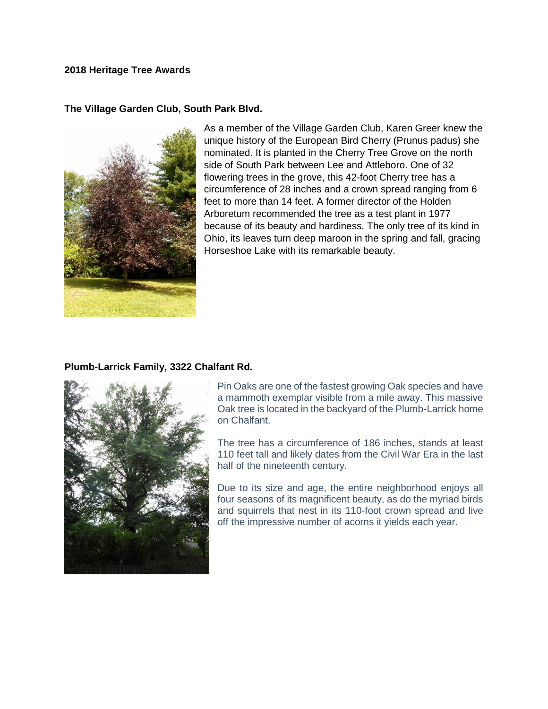## **2018 Heritage Tree Awards**

## **The Village Garden Club, South Park Blvd.**



As a member of the Village Garden Club, Karen Greer knew the unique history of the European Bird Cherry (Prunus padus) she nominated. It is planted in the Cherry Tree Grove on the north side of South Park between Lee and Attleboro. One of 32 flowering trees in the grove, this 42-foot Cherry tree has a circumference of 28 inches and a crown spread ranging from 6 feet to more than 14 feet. A former director of the Holden Arboretum recommended the tree as a test plant in 1977 because of its beauty and hardiness. The only tree of its kind in Ohio, its leaves turn deep maroon in the spring and fall, gracing Horseshoe Lake with its remarkable beauty.

## **Plumb-Larrick Family, 3322 Chalfant Rd.**



Pin Oaks are one of the fastest growing Oak species and have a mammoth exemplar visible from a mile away. This massive Oak tree is located in the backyard of the Plumb-Larrick home on Chalfant.

The tree has a circumference of 186 inches, stands at least 110 feet tall and likely dates from the Civil War Era in the last half of the nineteenth century.

Due to its size and age, the entire neighborhood enjoys all four seasons of its magnificent beauty, as do the myriad birds and squirrels that nest in its 110-foot crown spread and live off the impressive number of acorns it yields each year.